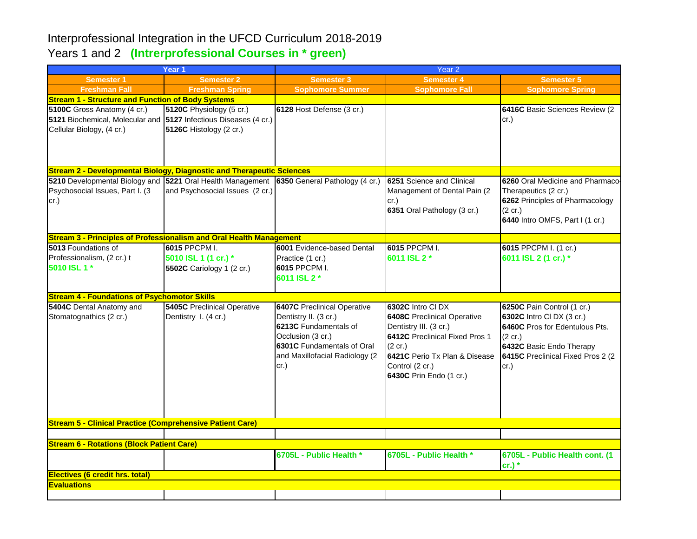## Interprofessional Integration in the UFCD Curriculum 2018-2019 Years 1 and 2 **(Intrerprofessional Courses in \* green)**

| Year 1                                                                                                                               |                                                                           | Year <sub>2</sub>                                                                                                                                                                 |                                                                                                                                                                                                               |                                                                                                                                                                                |  |  |  |  |
|--------------------------------------------------------------------------------------------------------------------------------------|---------------------------------------------------------------------------|-----------------------------------------------------------------------------------------------------------------------------------------------------------------------------------|---------------------------------------------------------------------------------------------------------------------------------------------------------------------------------------------------------------|--------------------------------------------------------------------------------------------------------------------------------------------------------------------------------|--|--|--|--|
| <b>Semester 1</b>                                                                                                                    | <b>Semester 2</b>                                                         | Semester 3                                                                                                                                                                        | <b>Semester 4</b>                                                                                                                                                                                             | <b>Semester 5</b>                                                                                                                                                              |  |  |  |  |
| <b>Freshman Fall</b>                                                                                                                 | <b>Freshman Spring</b>                                                    | <b>Sophomore Summer</b>                                                                                                                                                           | <b>Sophomore Fall</b>                                                                                                                                                                                         | <b>Sophomore Spring</b>                                                                                                                                                        |  |  |  |  |
| <b>Stream 1 - Structure and Function of Body Systems</b>                                                                             |                                                                           |                                                                                                                                                                                   |                                                                                                                                                                                                               |                                                                                                                                                                                |  |  |  |  |
| 5100C Gross Anatomy (4 cr.)<br>5121 Biochemical, Molecular and 5127 Infectious Diseases (4 cr.)<br>Cellular Biology, (4 cr.)         | 5120C Physiology (5 cr.)<br>5126C Histology (2 cr.)                       | 6128 Host Defense (3 cr.)                                                                                                                                                         |                                                                                                                                                                                                               | 6416C Basic Sciences Review (2)<br>cr.)                                                                                                                                        |  |  |  |  |
| <b>Stream 2 - Developmental Biology, Diagnostic and Therapeutic Sciences</b>                                                         |                                                                           |                                                                                                                                                                                   |                                                                                                                                                                                                               |                                                                                                                                                                                |  |  |  |  |
| 5210 Developmental Biology and 5221 Oral Health Management 6350 General Pathology (4 cr.)<br>Psychosocial Issues, Part I. (3<br>cr.) | and Psychosocial Issues (2 cr.)                                           |                                                                                                                                                                                   | 6251 Science and Clinical<br>Management of Dental Pain (2)<br>cr.)<br>6351 Oral Pathology (3 cr.)                                                                                                             | 6260 Oral Medicine and Pharmaco-<br>Therapeutics (2 cr.)<br>6262 Principles of Pharmacology<br>$(2 \text{ cr.})$<br>6440 Intro OMFS, Part I (1 cr.)                            |  |  |  |  |
| <b>Stream 3 - Principles of Professionalism and Oral Health Management</b>                                                           |                                                                           |                                                                                                                                                                                   |                                                                                                                                                                                                               |                                                                                                                                                                                |  |  |  |  |
| 5013 Foundations of<br>Professionalism, (2 cr.) t<br>5010 ISL 1 *                                                                    | <b>6015 PPCPM I.</b><br>5010 ISL 1 (1 cr.) *<br>5502C Cariology 1 (2 cr.) | 6001 Evidence-based Dental<br>Practice (1 cr.)<br>6015 PPCPM I.<br>6011 ISL 2 *                                                                                                   | 6015 PPCPM I.<br>6011 ISL 2 *                                                                                                                                                                                 | 6015 PPCPM I. (1 cr.)<br>6011 ISL 2 (1 cr.) *                                                                                                                                  |  |  |  |  |
| <b>Stream 4 - Foundations of Psychomotor Skills</b>                                                                                  |                                                                           |                                                                                                                                                                                   |                                                                                                                                                                                                               |                                                                                                                                                                                |  |  |  |  |
| 5404C Dental Anatomy and<br>Stomatognathics (2 cr.)                                                                                  | <b>5405C</b> Preclinical Operative<br>Dentistry I. (4 cr.)                | <b>6407C</b> Preclinical Operative<br>Dentistry II. (3 cr.)<br>6213C Fundamentals of<br>Occlusion (3 cr.)<br>6301C Fundamentals of Oral<br>and Maxillofacial Radiology (2<br>cr.) | 6302C Intro CI DX<br><b>6408C</b> Preclinical Operative<br>Dentistry III. (3 cr.)<br>6412C Preclinical Fixed Pros 1<br>(2 cr.)<br>6421C Perio Tx Plan & Disease<br>Control (2 cr.)<br>6430C Prin Endo (1 cr.) | 6250C Pain Control (1 cr.)<br>6302C Intro CI DX (3 cr.)<br>6460C Pros for Edentulous Pts.<br>(2 cr.)<br>6432C Basic Endo Therapy<br>6415C Preclinical Fixed Pros 2 (2)<br>cr.) |  |  |  |  |
| <b>Stream 5 - Clinical Practice (Comprehensive Patient Care)</b>                                                                     |                                                                           |                                                                                                                                                                                   |                                                                                                                                                                                                               |                                                                                                                                                                                |  |  |  |  |
|                                                                                                                                      |                                                                           |                                                                                                                                                                                   |                                                                                                                                                                                                               |                                                                                                                                                                                |  |  |  |  |
| <b>Stream 6 - Rotations (Block Patient Care)</b>                                                                                     |                                                                           | 6705L - Public Health *                                                                                                                                                           | 6705L - Public Health *                                                                                                                                                                                       | 6705L - Public Health cont. (1<br>$cr.)$ *                                                                                                                                     |  |  |  |  |
| Electives (6 credit hrs. total)                                                                                                      |                                                                           |                                                                                                                                                                                   |                                                                                                                                                                                                               |                                                                                                                                                                                |  |  |  |  |
| <b>Evaluations</b>                                                                                                                   |                                                                           |                                                                                                                                                                                   |                                                                                                                                                                                                               |                                                                                                                                                                                |  |  |  |  |
|                                                                                                                                      |                                                                           |                                                                                                                                                                                   |                                                                                                                                                                                                               |                                                                                                                                                                                |  |  |  |  |